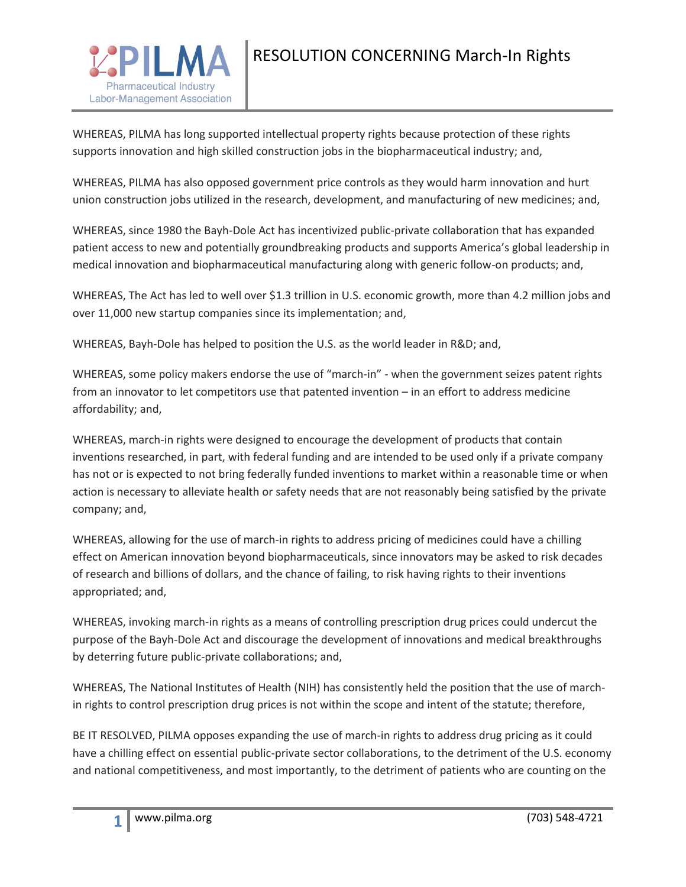

WHEREAS, PILMA has long supported intellectual property rights because protection of these rights supports innovation and high skilled construction jobs in the biopharmaceutical industry; and,

WHEREAS, PILMA has also opposed government price controls as they would harm innovation and hurt union construction jobs utilized in the research, development, and manufacturing of new medicines; and,

WHEREAS, since 1980 the Bayh-Dole Act has incentivized public-private collaboration that has expanded patient access to new and potentially groundbreaking products and supports America's global leadership in medical innovation and biopharmaceutical manufacturing along with generic follow-on products; and,

WHEREAS, The Act has led to well over \$1.3 trillion in U.S. economic growth, more than 4.2 million jobs and over 11,000 new startup companies since its implementation; and,

WHEREAS, Bayh-Dole has helped to position the U.S. as the world leader in R&D; and,

WHEREAS, some policy makers endorse the use of "march-in" - when the government seizes patent rights from an innovator to let competitors use that patented invention – in an effort to address medicine affordability; and,

WHEREAS, march-in rights were designed to encourage the development of products that contain inventions researched, in part, with federal funding and are intended to be used only if a private company has not or is expected to not bring federally funded inventions to market within a reasonable time or when action is necessary to alleviate health or safety needs that are not reasonably being satisfied by the private company; and,

WHEREAS, allowing for the use of march-in rights to address pricing of medicines could have a chilling effect on American innovation beyond biopharmaceuticals, since innovators may be asked to risk decades of research and billions of dollars, and the chance of failing, to risk having rights to their inventions appropriated; and,

WHEREAS, invoking march-in rights as a means of controlling prescription drug prices could undercut the purpose of the Bayh-Dole Act and discourage the development of innovations and medical breakthroughs by deterring future public-private collaborations; and,

WHEREAS, The National Institutes of Health (NIH) has consistently held the position that the use of marchin rights to control prescription drug prices is not within the scope and intent of the statute; therefore,

BE IT RESOLVED, PILMA opposes expanding the use of march-in rights to address drug pricing as it could have a chilling effect on essential public-private sector collaborations, to the detriment of the U.S. economy and national competitiveness, and most importantly, to the detriment of patients who are counting on the